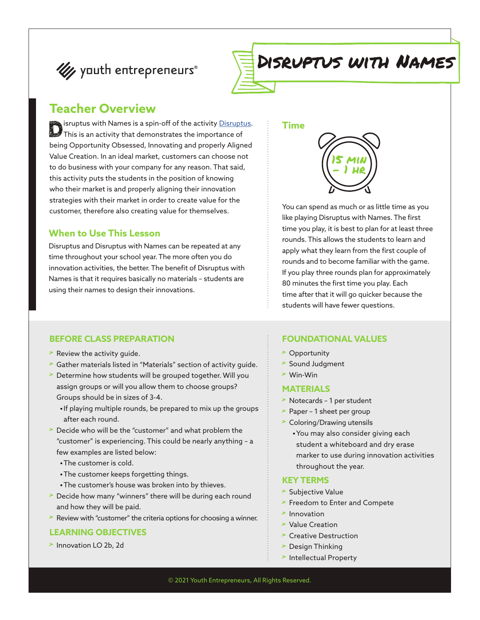



# Disruptus with Names

### **Teacher Overview**

Sisruptus with Names is a spin-off of the activity <u>[Disruptus](https://yeacademy.org/lessons/?topic=ye-core&lesson=disruptus)</u>.<br>This is an activity that demonstrates the importance of being Opportunity Obsessed, Innovating and properly Aligned Value Creation. In an ideal market, customers can choose not to do business with your company for any reason. That said, this activity puts the students in the position of knowing who their market is and properly aligning their innovation strategies with their market in order to create value for the customer, therefore also creating value for themselves.

#### **When to Use This Lesson**

Disruptus and Disruptus with Names can be repeated at any time throughout your school year. The more often you do innovation activities, the better. The benefit of Disruptus with Names is that it requires basically no materials – students are using their names to design their innovations.

#### **BEFORE CLASS PREPARATION**

- > Review the activity guide.
- > Gather materials listed in "Materials" section of activity guide.
- > Determine how students will be grouped together. Will you assign groups or will you allow them to choose groups? Groups should be in sizes of 3-4.
	- **•**If playing multiple rounds, be prepared to mix up the groups after each round.
- > Decide who will be the "customer" and what problem the "customer" is experiencing. This could be nearly anything – a few examples are listed below:
	- **•**The customer is cold.
	- **•**The customer keeps forgetting things.
	- **•**The customer's house was broken into by thieves.
- Decide how many "winners" there will be during each round and how they will be paid.
- > Review with "customer" the criteria options for choosing a winner.

#### **LEARNING OBJECTIVES**

> Innovation LO 2b, 2d

#### **Time**



You can spend as much or as little time as you like playing Disruptus with Names. The first time you play, it is best to plan for at least three rounds. This allows the students to learn and apply what they learn from the first couple of rounds and to become familiar with the game. If you play three rounds plan for approximately 80 minutes the first time you play. Each time after that it will go quicker because the students will have fewer questions.

#### **FOUNDATIONAL VALUES**

- > Opportunity
- > Sound Judgment
- > Win-Win

#### **MATERIALS**

- > Notecards 1 per student
- > Paper 1 sheet per group
- > Coloring/Drawing utensils
	- **•**You may also consider giving each student a whiteboard and dry erase marker to use during innovation activities throughout the year.

#### **KEY TERMS**

- > Subjective Value
- > Freedom to Enter and Compete
- > Innovation
- > Value Creation
- > Creative Destruction
- > Design Thinking
- > Intellectual Property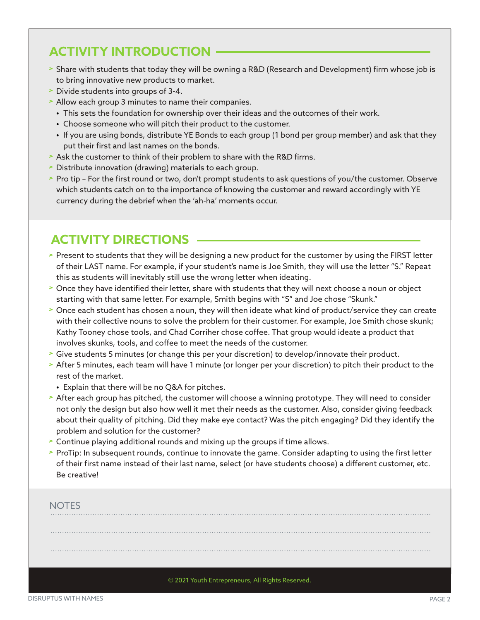## **ACTIVITY INTRODUCTION**

- > Share with students that today they will be owning a R&D (Research and Development) firm whose job is to bring innovative new products to market.
- > Divide students into groups of 3-4.
- > Allow each group 3 minutes to name their companies.
	- **•** This sets the foundation for ownership over their ideas and the outcomes of their work.
	- **•** Choose someone who will pitch their product to the customer.
	- **•** If you are using bonds, distribute YE Bonds to each group (1 bond per group member) and ask that they put their first and last names on the bonds.
- > Ask the customer to think of their problem to share with the R&D firms.
- > Distribute innovation (drawing) materials to each group.
- > Pro tip For the first round or two, don't prompt students to ask questions of you/the customer. Observe which students catch on to the importance of knowing the customer and reward accordingly with YE currency during the debrief when the 'ah-ha' moments occur.

### **ACTIVITY DIRECTIONS**

- > Present to students that they will be designing a new product for the customer by using the FIRST letter of their LAST name. For example, if your student's name is Joe Smith, they will use the letter "S." Repeat this as students will inevitably still use the wrong letter when ideating.
- > Once they have identified their letter, share with students that they will next choose a noun or object starting with that same letter. For example, Smith begins with "S" and Joe chose "Skunk."
- > Once each student has chosen a noun, they will then ideate what kind of product/service they can create with their collective nouns to solve the problem for their customer. For example, Joe Smith chose skunk; Kathy Tooney chose tools, and Chad Corriher chose coffee. That group would ideate a product that involves skunks, tools, and coffee to meet the needs of the customer.
- > Give students 5 minutes (or change this per your discretion) to develop/innovate their product.
- > After 5 minutes, each team will have 1 minute (or longer per your discretion) to pitch their product to the rest of the market.
	- **•** Explain that there will be no Q&A for pitches.
- > After each group has pitched, the customer will choose a winning prototype. They will need to consider not only the design but also how well it met their needs as the customer. Also, consider giving feedback about their quality of pitching. Did they make eye contact? Was the pitch engaging? Did they identify the problem and solution for the customer?
- > Continue playing additional rounds and mixing up the groups if time allows.
- > ProTip: In subsequent rounds, continue to innovate the game. Consider adapting to using the first letter of their first name instead of their last name, select (or have students choose) a different customer, etc. Be creative!

#### **NOTES**